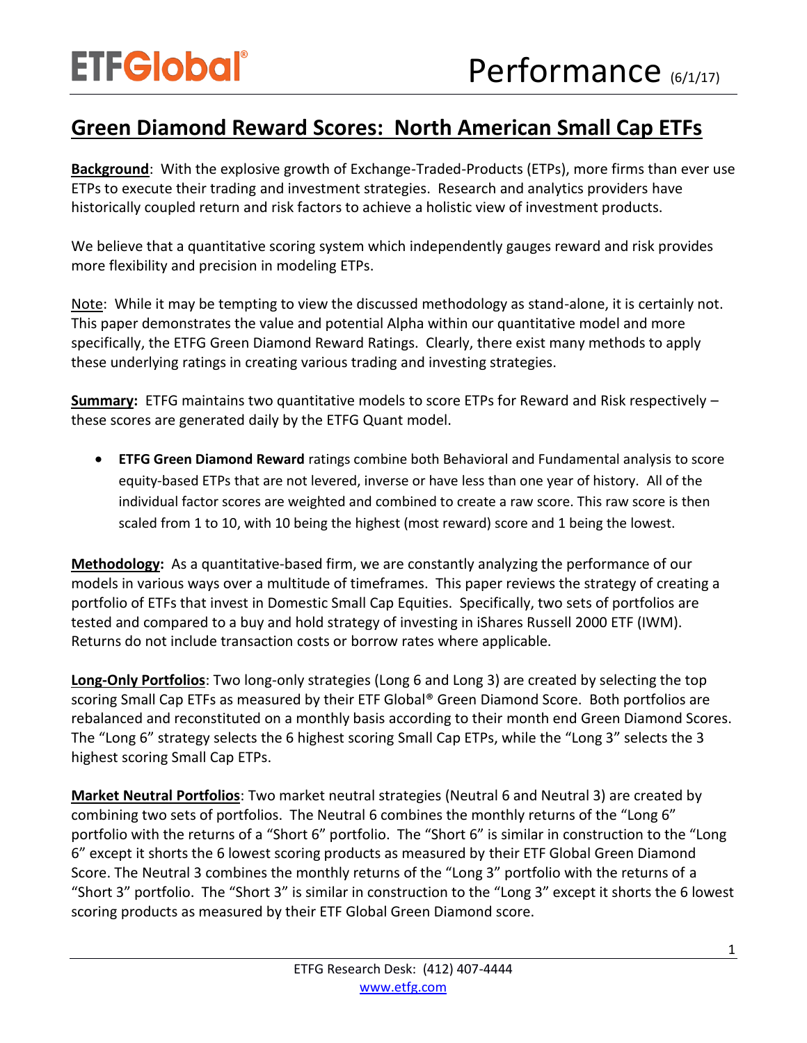## **Green Diamond Reward Scores: North American Small Cap ETFs**

**Background**: With the explosive growth of Exchange-Traded-Products (ETPs), more firms than ever use ETPs to execute their trading and investment strategies. Research and analytics providers have historically coupled return and risk factors to achieve a holistic view of investment products.

We believe that a quantitative scoring system which independently gauges reward and risk provides more flexibility and precision in modeling ETPs.

Note: While it may be tempting to view the discussed methodology as stand-alone, it is certainly not. This paper demonstrates the value and potential Alpha within our quantitative model and more specifically, the ETFG Green Diamond Reward Ratings. Clearly, there exist many methods to apply these underlying ratings in creating various trading and investing strategies.

**Summary:** ETFG maintains two quantitative models to score ETPs for Reward and Risk respectively – these scores are generated daily by the ETFG Quant model.

 **ETFG Green Diamond Reward** ratings combine both Behavioral and Fundamental analysis to score equity-based ETPs that are not levered, inverse or have less than one year of history. All of the individual factor scores are weighted and combined to create a raw score. This raw score is then scaled from 1 to 10, with 10 being the highest (most reward) score and 1 being the lowest.

**Methodology:** As a quantitative-based firm, we are constantly analyzing the performance of our models in various ways over a multitude of timeframes. This paper reviews the strategy of creating a portfolio of ETFs that invest in Domestic Small Cap Equities. Specifically, two sets of portfolios are tested and compared to a buy and hold strategy of investing in iShares Russell 2000 ETF (IWM). Returns do not include transaction costs or borrow rates where applicable.

**Long-Only Portfolios**: Two long-only strategies (Long 6 and Long 3) are created by selecting the top scoring Small Cap ETFs as measured by their ETF Global® Green Diamond Score. Both portfolios are rebalanced and reconstituted on a monthly basis according to their month end Green Diamond Scores. The "Long 6" strategy selects the 6 highest scoring Small Cap ETPs, while the "Long 3" selects the 3 highest scoring Small Cap ETPs.

**Market Neutral Portfolios**: Two market neutral strategies (Neutral 6 and Neutral 3) are created by combining two sets of portfolios. The Neutral 6 combines the monthly returns of the "Long 6" portfolio with the returns of a "Short 6" portfolio. The "Short 6" is similar in construction to the "Long 6" except it shorts the 6 lowest scoring products as measured by their ETF Global Green Diamond Score. The Neutral 3 combines the monthly returns of the "Long 3" portfolio with the returns of a "Short 3" portfolio. The "Short 3" is similar in construction to the "Long 3" except it shorts the 6 lowest scoring products as measured by their ETF Global Green Diamond score.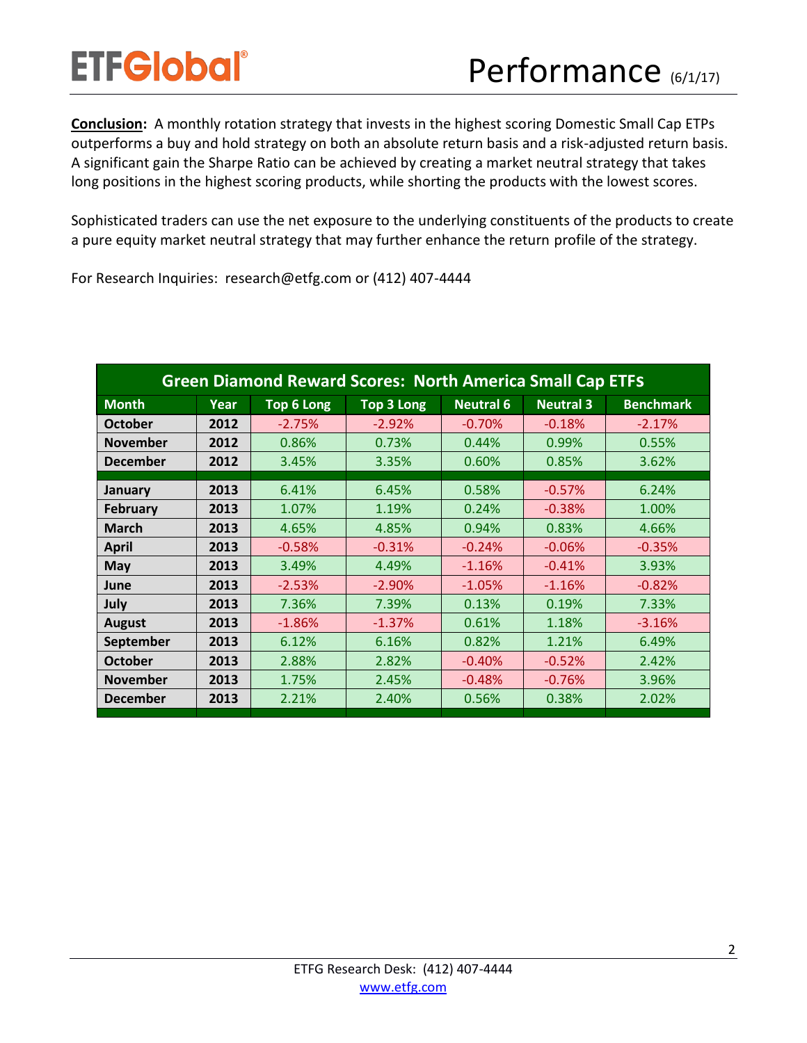**Conclusion:** A monthly rotation strategy that invests in the highest scoring Domestic Small Cap ETPs outperforms a buy and hold strategy on both an absolute return basis and a risk-adjusted return basis. A significant gain the Sharpe Ratio can be achieved by creating a market neutral strategy that takes long positions in the highest scoring products, while shorting the products with the lowest scores.

Sophisticated traders can use the net exposure to the underlying constituents of the products to create a pure equity market neutral strategy that may further enhance the return profile of the strategy.

For Research Inquiries: research@etfg.com or (412) 407-4444

| <b>Green Diamond Reward Scores: North America Small Cap ETFS</b> |      |                   |            |                  |                  |                  |
|------------------------------------------------------------------|------|-------------------|------------|------------------|------------------|------------------|
| <b>Month</b>                                                     | Year | <b>Top 6 Long</b> | Top 3 Long | <b>Neutral 6</b> | <b>Neutral 3</b> | <b>Benchmark</b> |
| <b>October</b>                                                   | 2012 | $-2.75%$          | $-2.92%$   | $-0.70%$         | $-0.18%$         | $-2.17%$         |
| <b>November</b>                                                  | 2012 | 0.86%             | 0.73%      | 0.44%            | 0.99%            | 0.55%            |
| <b>December</b>                                                  | 2012 | 3.45%             | 3.35%      | 0.60%            | 0.85%            | 3.62%            |
| January                                                          | 2013 | 6.41%             | 6.45%      | 0.58%            | $-0.57%$         | 6.24%            |
| <b>February</b>                                                  | 2013 | 1.07%             | 1.19%      | 0.24%            | $-0.38%$         | 1.00%            |
| <b>March</b>                                                     | 2013 | 4.65%             | 4.85%      | 0.94%            | 0.83%            | 4.66%            |
| <b>April</b>                                                     | 2013 | $-0.58%$          | $-0.31%$   | $-0.24%$         | $-0.06%$         | $-0.35%$         |
| May                                                              | 2013 | 3.49%             | 4.49%      | $-1.16%$         | $-0.41%$         | 3.93%            |
| June                                                             | 2013 | $-2.53%$          | $-2.90%$   | $-1.05%$         | $-1.16%$         | $-0.82%$         |
| July                                                             | 2013 | 7.36%             | 7.39%      | 0.13%            | 0.19%            | 7.33%            |
| <b>August</b>                                                    | 2013 | $-1.86%$          | $-1.37%$   | 0.61%            | 1.18%            | $-3.16%$         |
| September                                                        | 2013 | 6.12%             | 6.16%      | 0.82%            | 1.21%            | 6.49%            |
| <b>October</b>                                                   | 2013 | 2.88%             | 2.82%      | $-0.40%$         | $-0.52%$         | 2.42%            |
| <b>November</b>                                                  | 2013 | 1.75%             | 2.45%      | $-0.48%$         | $-0.76%$         | 3.96%            |
| <b>December</b>                                                  | 2013 | 2.21%             | 2.40%      | 0.56%            | 0.38%            | 2.02%            |
|                                                                  |      |                   |            |                  |                  |                  |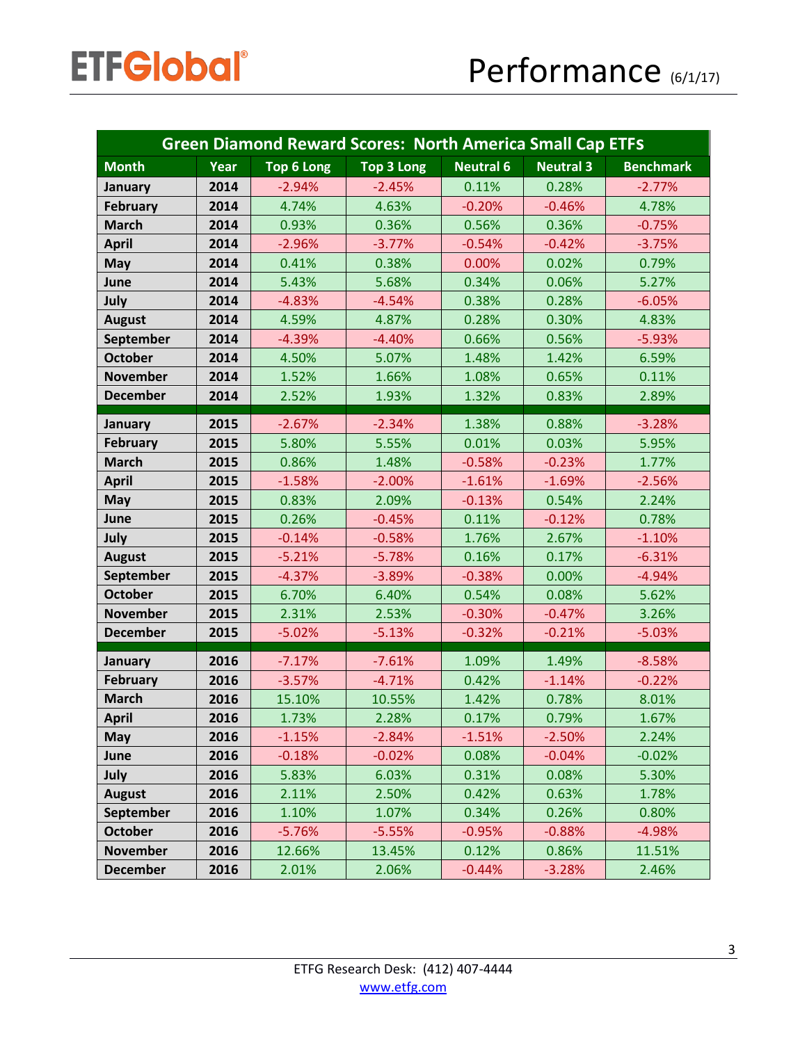| <b>Green Diamond Reward Scores: North America Small Cap ETFS</b> |      |                   |                   |                  |                  |                  |
|------------------------------------------------------------------|------|-------------------|-------------------|------------------|------------------|------------------|
| <b>Month</b>                                                     | Year | <b>Top 6 Long</b> | <b>Top 3 Long</b> | <b>Neutral 6</b> | <b>Neutral 3</b> | <b>Benchmark</b> |
| January                                                          | 2014 | $-2.94%$          | $-2.45%$          | 0.11%            | 0.28%            | $-2.77%$         |
| <b>February</b>                                                  | 2014 | 4.74%             | 4.63%             | $-0.20%$         | $-0.46%$         | 4.78%            |
| <b>March</b>                                                     | 2014 | 0.93%             | 0.36%             | 0.56%            | 0.36%            | $-0.75%$         |
| <b>April</b>                                                     | 2014 | $-2.96%$          | $-3.77%$          | $-0.54%$         | $-0.42%$         | $-3.75%$         |
| <b>May</b>                                                       | 2014 | 0.41%             | 0.38%             | 0.00%            | 0.02%            | 0.79%            |
| June                                                             | 2014 | 5.43%             | 5.68%             | 0.34%            | 0.06%            | 5.27%            |
| July                                                             | 2014 | $-4.83%$          | $-4.54%$          | 0.38%            | 0.28%            | $-6.05%$         |
| <b>August</b>                                                    | 2014 | 4.59%             | 4.87%             | 0.28%            | 0.30%            | 4.83%            |
| September                                                        | 2014 | $-4.39%$          | $-4.40%$          | 0.66%            | 0.56%            | $-5.93%$         |
| <b>October</b>                                                   | 2014 | 4.50%             | 5.07%             | 1.48%            | 1.42%            | 6.59%            |
| <b>November</b>                                                  | 2014 | 1.52%             | 1.66%             | 1.08%            | 0.65%            | 0.11%            |
| <b>December</b>                                                  | 2014 | 2.52%             | 1.93%             | 1.32%            | 0.83%            | 2.89%            |
| January                                                          | 2015 | $-2.67%$          | $-2.34%$          | 1.38%            | 0.88%            | $-3.28%$         |
| <b>February</b>                                                  | 2015 | 5.80%             | 5.55%             | 0.01%            | 0.03%            | 5.95%            |
| <b>March</b>                                                     | 2015 | 0.86%             | 1.48%             | $-0.58%$         | $-0.23%$         | 1.77%            |
| <b>April</b>                                                     | 2015 | $-1.58%$          | $-2.00%$          | $-1.61%$         | $-1.69%$         | $-2.56%$         |
| <b>May</b>                                                       | 2015 | 0.83%             | 2.09%             | $-0.13%$         | 0.54%            | 2.24%            |
| June                                                             | 2015 | 0.26%             | $-0.45%$          | 0.11%            | $-0.12%$         | 0.78%            |
| July                                                             | 2015 | $-0.14%$          | $-0.58%$          | 1.76%            | 2.67%            | $-1.10%$         |
| <b>August</b>                                                    | 2015 | $-5.21%$          | $-5.78%$          | 0.16%            | 0.17%            | $-6.31%$         |
| September                                                        | 2015 | $-4.37%$          | $-3.89%$          | $-0.38%$         | 0.00%            | $-4.94%$         |
| <b>October</b>                                                   | 2015 | 6.70%             | 6.40%             | 0.54%            | 0.08%            | 5.62%            |
| <b>November</b>                                                  | 2015 | 2.31%             | 2.53%             | $-0.30%$         | $-0.47%$         | 3.26%            |
| <b>December</b>                                                  | 2015 | $-5.02%$          | $-5.13%$          | $-0.32%$         | $-0.21%$         | $-5.03%$         |
| January                                                          | 2016 | $-7.17%$          | $-7.61%$          | 1.09%            | 1.49%            | $-8.58%$         |
| <b>February</b>                                                  | 2016 | $-3.57%$          | $-4.71%$          | 0.42%            | $-1.14%$         | $-0.22%$         |
| <b>March</b>                                                     | 2016 | 15.10%            | 10.55%            | 1.42%            | 0.78%            | 8.01%            |
| <b>April</b>                                                     | 2016 | 1.73%             | 2.28%             | 0.17%            | 0.79%            | 1.67%            |
| <b>May</b>                                                       | 2016 | $-1.15%$          | $-2.84%$          | $-1.51%$         | $-2.50%$         | 2.24%            |
| June                                                             | 2016 | $-0.18%$          | $-0.02%$          | 0.08%            | $-0.04%$         | $-0.02%$         |
| July                                                             | 2016 | 5.83%             | 6.03%             | 0.31%            | 0.08%            | 5.30%            |
| <b>August</b>                                                    | 2016 | 2.11%             | 2.50%             | 0.42%            | 0.63%            | 1.78%            |
| September                                                        | 2016 | 1.10%             | 1.07%             | 0.34%            | 0.26%            | 0.80%            |
| <b>October</b>                                                   | 2016 | $-5.76%$          | $-5.55%$          | $-0.95%$         | $-0.88%$         | $-4.98%$         |
| <b>November</b>                                                  | 2016 | 12.66%            | 13.45%            | 0.12%            | 0.86%            | 11.51%           |
| <b>December</b>                                                  | 2016 | 2.01%             | 2.06%             | $-0.44%$         | $-3.28%$         | 2.46%            |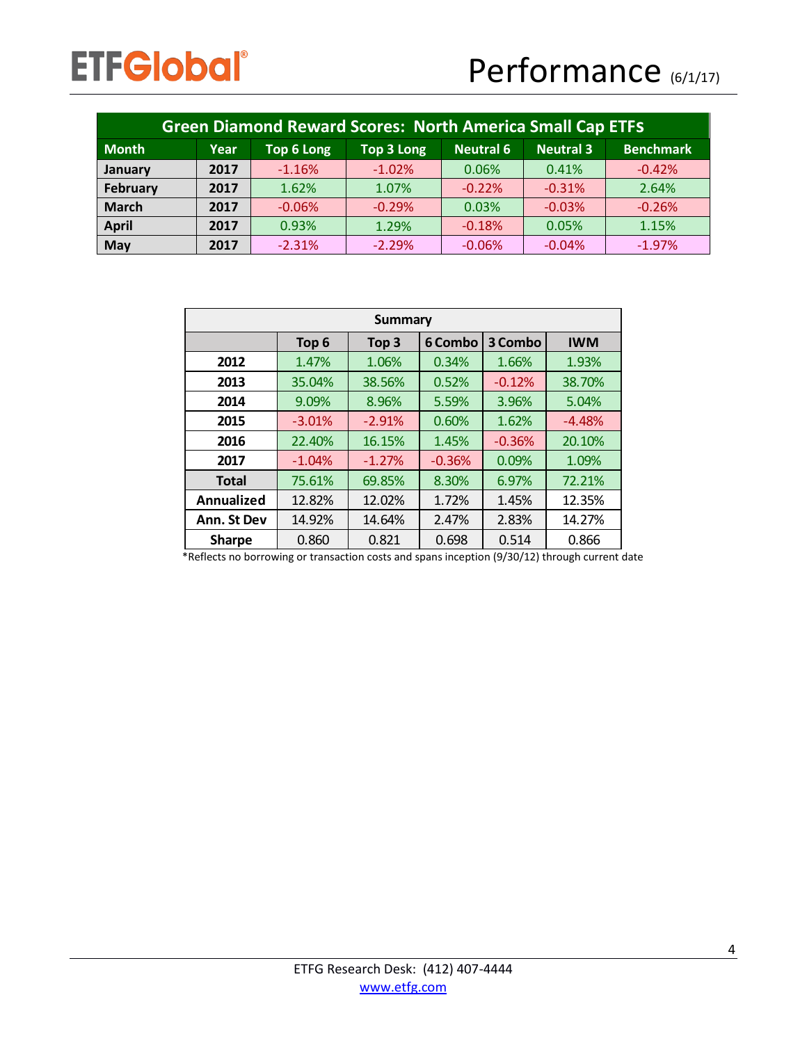| <b>Green Diamond Reward Scores: North America Small Cap ETFS</b> |      |            |            |                  |                  |                  |
|------------------------------------------------------------------|------|------------|------------|------------------|------------------|------------------|
| <b>Month</b>                                                     | Year | Top 6 Long | Top 3 Long | <b>Neutral 6</b> | <b>Neutral 3</b> | <b>Benchmark</b> |
| January                                                          | 2017 | $-1.16%$   | $-1.02%$   | 0.06%            | 0.41%            | $-0.42%$         |
| February                                                         | 2017 | 1.62%      | 1.07%      | $-0.22%$         | $-0.31%$         | 2.64%            |
| <b>March</b>                                                     | 2017 | $-0.06%$   | $-0.29%$   | 0.03%            | $-0.03%$         | $-0.26%$         |
| <b>April</b>                                                     | 2017 | 0.93%      | 1.29%      | $-0.18%$         | 0.05%            | 1.15%            |
| May                                                              | 2017 | $-2.31%$   | $-2.29%$   | $-0.06%$         | $-0.04%$         | $-1.97%$         |

| Summary       |                  |                  |          |          |            |  |
|---------------|------------------|------------------|----------|----------|------------|--|
|               | Top <sub>6</sub> | Top <sub>3</sub> | 6 Combo  | 3 Combo  | <b>IWM</b> |  |
| 2012          | 1.47%            | 1.06%            | 0.34%    | 1.66%    | 1.93%      |  |
| 2013          | 35.04%           | 38.56%           | 0.52%    | $-0.12%$ | 38.70%     |  |
| 2014          | 9.09%            | 8.96%            | 5.59%    | 3.96%    | 5.04%      |  |
| 2015          | $-3.01%$         | $-2.91%$         | 0.60%    | 1.62%    | $-4.48%$   |  |
| 2016          | 22.40%           | 16.15%           | 1.45%    | $-0.36%$ | 20.10%     |  |
| 2017          | $-1.04%$         | $-1.27%$         | $-0.36%$ | 0.09%    | 1.09%      |  |
| <b>Total</b>  | 75.61%           | 69.85%           | 8.30%    | 6.97%    | 72.21%     |  |
| Annualized    | 12.82%           | 12.02%           | 1.72%    | 1.45%    | 12.35%     |  |
| Ann. St Dev   | 14.92%           | 14.64%           | 2.47%    | 2.83%    | 14.27%     |  |
| <b>Sharpe</b> | 0.860            | 0.821            | 0.698    | 0.514    | 0.866      |  |

\*Reflects no borrowing or transaction costs and spans inception (9/30/12) through current date